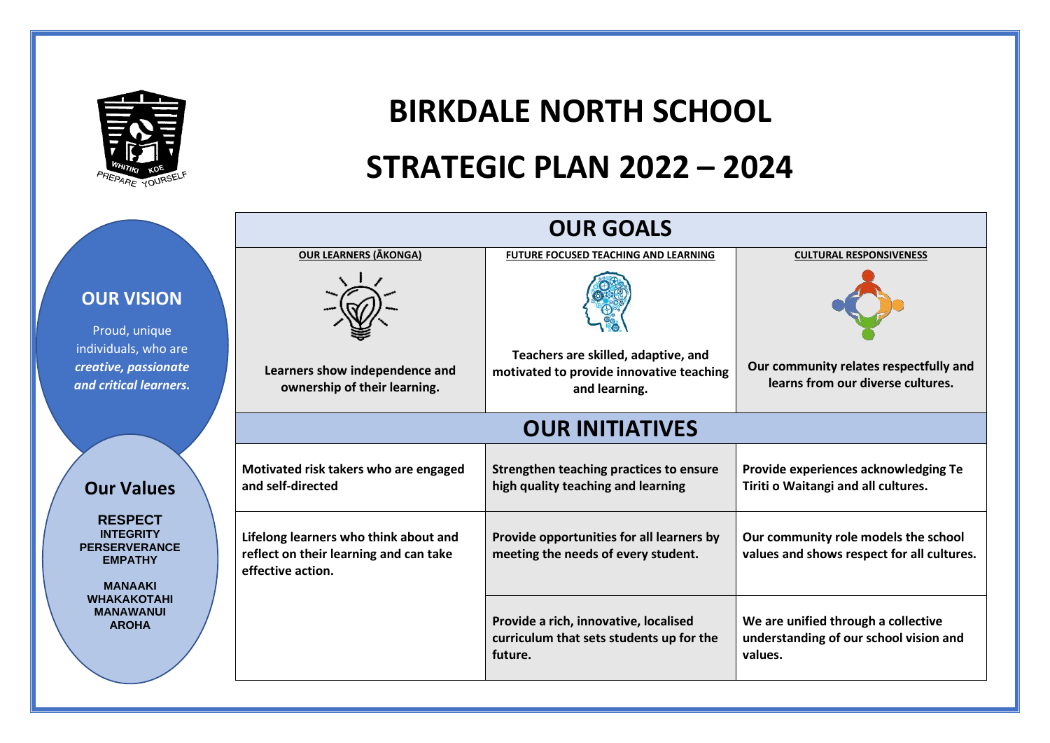

# **BIRKDALE NORTH SCHOOL STRATEGIC PLAN 2022 – 2024**

|                                                                              |                                                                                                      | <b>OUR GOALS</b>                                                                                 |                                                                                          |  |  |  |  |
|------------------------------------------------------------------------------|------------------------------------------------------------------------------------------------------|--------------------------------------------------------------------------------------------------|------------------------------------------------------------------------------------------|--|--|--|--|
|                                                                              | <b>OUR LEARNERS (AKONGA)</b>                                                                         | <b>FUTURE FOCUSED TEACHING AND LEARNING</b>                                                      | <b>CULTURAL RESPONSIVENESS</b>                                                           |  |  |  |  |
| <b>OUR VISION</b><br>Proud, unique                                           |                                                                                                      |                                                                                                  |                                                                                          |  |  |  |  |
| individuals, who are<br>creative, passionate<br>and critical learners.       | Learners show independence and<br>ownership of their learning.                                       | Teachers are skilled, adaptive, and<br>motivated to provide innovative teaching<br>and learning. | Our community relates respectfully and<br>learns from our diverse cultures.              |  |  |  |  |
|                                                                              | <b>OUR INITIATIVES</b>                                                                               |                                                                                                  |                                                                                          |  |  |  |  |
| <b>Our Values</b>                                                            | Motivated risk takers who are engaged<br>and self-directed                                           | Strengthen teaching practices to ensure<br>high quality teaching and learning                    | Provide experiences acknowledging Te<br>Tiriti o Waitangi and all cultures.              |  |  |  |  |
| <b>RESPECT</b><br><b>INTEGRITY</b><br><b>PERSERVERANCE</b><br><b>EMPATHY</b> | Lifelong learners who think about and<br>reflect on their learning and can take<br>effective action. | Provide opportunities for all learners by<br>meeting the needs of every student.                 | Our community role models the school<br>values and shows respect for all cultures.       |  |  |  |  |
| <b>MANAAKI</b><br><b>WHAKAKOTAHI</b><br><b>MANAWANUI</b><br><b>AROHA</b>     |                                                                                                      | Provide a rich, innovative, localised<br>curriculum that sets students up for the<br>future.     | We are unified through a collective<br>understanding of our school vision and<br>values. |  |  |  |  |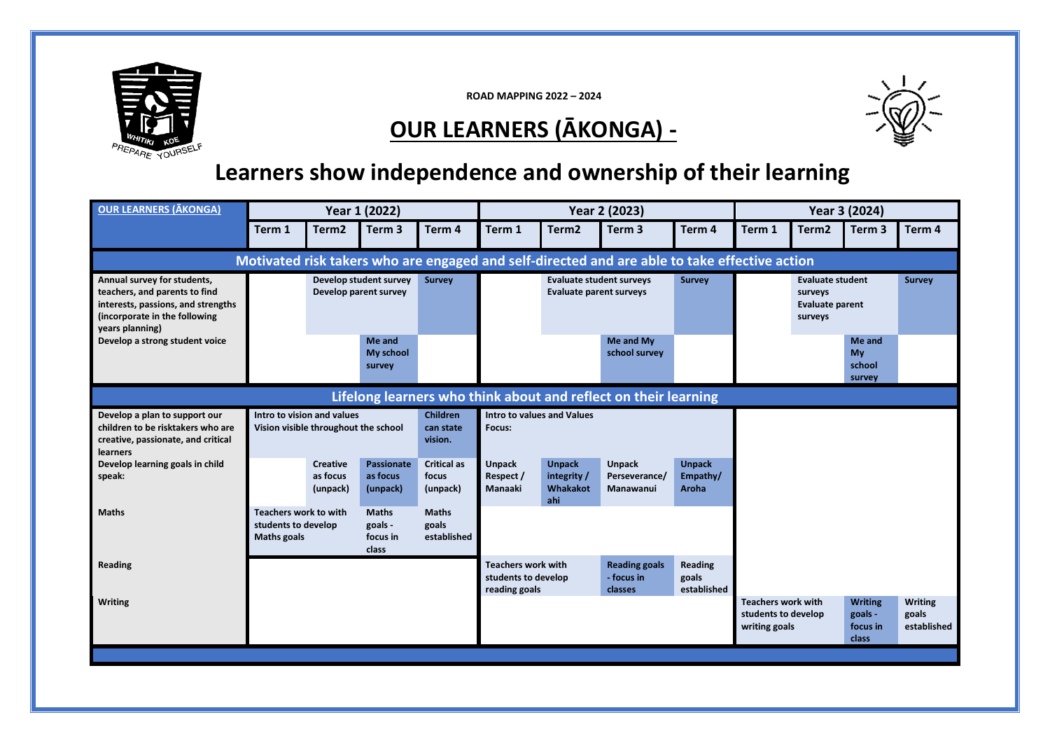

**ROAD MAPPING 2022 – 2024**

### **OUR LEARNERS (ĀKONGA) -**



#### **Learners show independence and ownership of their learning**

| <b>OUR LEARNERS (ĀKONGA)</b>                                                                                                                           |                                                                  | Year 1 (2022)                                                                                                             |                                           |                                         |                                                                                    |                                                 | Year 2 (2023)                                                                                 |                                                                                          |                                                                   |                   | Year 3 (2024)                                  |                                        |
|--------------------------------------------------------------------------------------------------------------------------------------------------------|------------------------------------------------------------------|---------------------------------------------------------------------------------------------------------------------------|-------------------------------------------|-----------------------------------------|------------------------------------------------------------------------------------|-------------------------------------------------|-----------------------------------------------------------------------------------------------|------------------------------------------------------------------------------------------|-------------------------------------------------------------------|-------------------|------------------------------------------------|----------------------------------------|
|                                                                                                                                                        | Term 1                                                           | Term <sub>2</sub>                                                                                                         | Term <sub>3</sub>                         | Term 4                                  | Term 1                                                                             | Term <sub>2</sub>                               | Term <sub>3</sub>                                                                             | Term 4                                                                                   | Term 1                                                            | Term <sub>2</sub> | Term <sub>3</sub>                              | Term 4                                 |
|                                                                                                                                                        |                                                                  |                                                                                                                           |                                           |                                         |                                                                                    |                                                 | Motivated risk takers who are engaged and self-directed and are able to take effective action |                                                                                          |                                                                   |                   |                                                |                                        |
| Annual survey for students,<br>teachers, and parents to find<br>interests, passions, and strengths<br>(incorporate in the following<br>years planning) | Develop student survey<br><b>Survey</b><br>Develop parent survey |                                                                                                                           |                                           |                                         | <b>Evaluate student surveys</b><br><b>Survey</b><br><b>Evaluate parent surveys</b> |                                                 |                                                                                               | <b>Evaluate student</b><br><b>Survey</b><br>surveys<br><b>Evaluate parent</b><br>surveys |                                                                   |                   |                                                |                                        |
| Develop a strong student voice                                                                                                                         |                                                                  |                                                                                                                           | Me and<br>My school<br>survey             |                                         |                                                                                    |                                                 | Me and My<br>school survey                                                                    |                                                                                          |                                                                   |                   | Me and<br>My<br>school<br>survey               |                                        |
|                                                                                                                                                        |                                                                  |                                                                                                                           |                                           |                                         |                                                                                    |                                                 | Lifelong learners who think about and reflect on their learning                               |                                                                                          |                                                                   |                   |                                                |                                        |
| Develop a plan to support our<br>children to be risktakers who are<br>creative, passionate, and critical<br><b>learners</b>                            | Intro to vision and values                                       | Vision visible throughout the school                                                                                      |                                           | <b>Children</b><br>can state<br>vision. | Intro to values and Values<br>Focus:                                               |                                                 |                                                                                               |                                                                                          |                                                                   |                   |                                                |                                        |
| Develop learning goals in child<br>speak:                                                                                                              |                                                                  | <b>Creative</b><br>as focus<br>(unpack)                                                                                   | <b>Passionate</b><br>as focus<br>(unpack) | <b>Critical as</b><br>focus<br>(unpack) | <b>Unpack</b><br>Respect /<br>Manaaki                                              | <b>Unpack</b><br>integrity /<br>Whakakot<br>ahi | <b>Unpack</b><br>Perseverance/<br>Manawanui                                                   | <b>Unpack</b><br>Empathy/<br><b>Aroha</b>                                                |                                                                   |                   |                                                |                                        |
| <b>Maths</b>                                                                                                                                           |                                                                  | <b>Teachers work to with</b><br><b>Maths</b><br>students to develop<br>goals -<br><b>Maths goals</b><br>focus in<br>class |                                           | <b>Maths</b><br>goals<br>established    |                                                                                    |                                                 |                                                                                               |                                                                                          |                                                                   |                   |                                                |                                        |
| Reading                                                                                                                                                |                                                                  |                                                                                                                           |                                           |                                         | <b>Teachers work with</b><br>students to develop<br>reading goals                  |                                                 | <b>Reading goals</b><br>- focus in<br>classes                                                 | Reading<br>goals<br>established                                                          |                                                                   |                   |                                                |                                        |
| <b>Writing</b>                                                                                                                                         |                                                                  |                                                                                                                           |                                           |                                         |                                                                                    |                                                 |                                                                                               |                                                                                          | <b>Teachers work with</b><br>students to develop<br>writing goals |                   | <b>Writing</b><br>goals -<br>focus in<br>class | <b>Writing</b><br>goals<br>established |
|                                                                                                                                                        |                                                                  |                                                                                                                           |                                           |                                         |                                                                                    |                                                 |                                                                                               |                                                                                          |                                                                   |                   |                                                |                                        |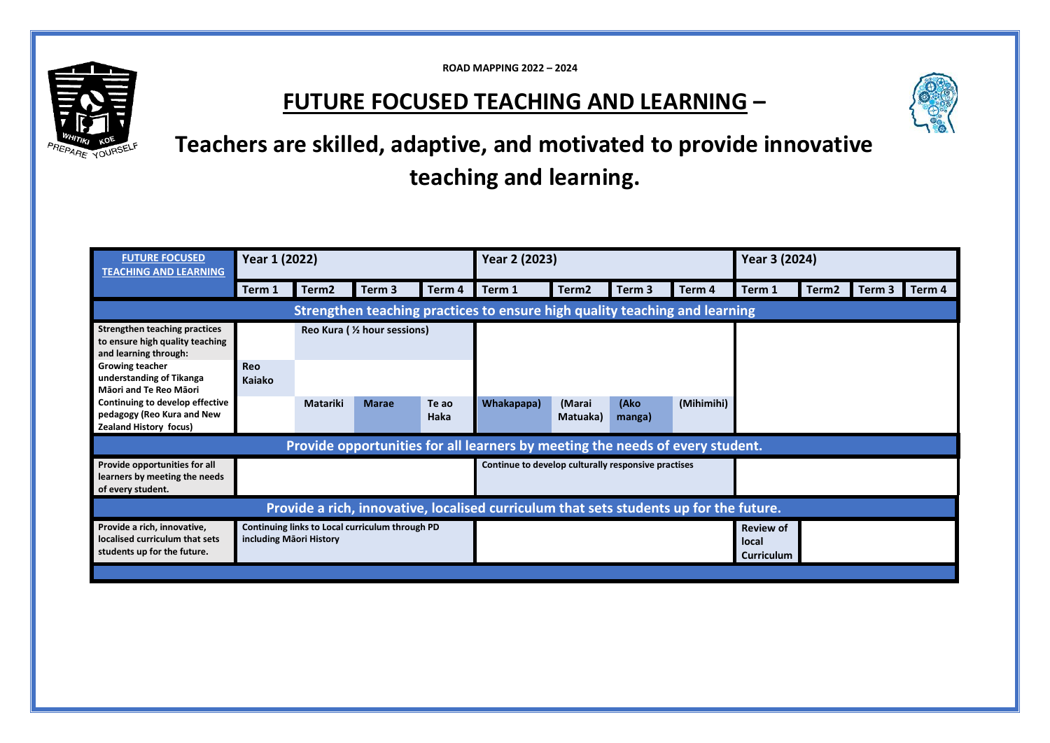**ROAD MAPPING 2022 – 2024**

#### **FUTURE FOCUSED TEACHING AND LEARNING –**



**Teachers are skilled, adaptive, and motivated to provide innovative teaching and learning.**

| <b>FUTURE FOCUSED</b><br><b>TEACHING AND LEARNING</b>                                            |                                                                            | Year 1 (2022)               |              |               | Year 2 (2023)                                                                          |                    |                |                                         | Year 3 (2024) |                   |        |        |
|--------------------------------------------------------------------------------------------------|----------------------------------------------------------------------------|-----------------------------|--------------|---------------|----------------------------------------------------------------------------------------|--------------------|----------------|-----------------------------------------|---------------|-------------------|--------|--------|
|                                                                                                  | Term 1                                                                     | Term <sub>2</sub>           | Term 3       | Term 4        | Term 1                                                                                 | Term <sub>2</sub>  | Term 3         | Term 4                                  | Term 1        | Term <sub>2</sub> | Term 3 | Term 4 |
|                                                                                                  |                                                                            |                             |              |               | Strengthen teaching practices to ensure high quality teaching and learning             |                    |                |                                         |               |                   |        |        |
| <b>Strengthen teaching practices</b><br>to ensure high quality teaching<br>and learning through: |                                                                            | Reo Kura ( % hour sessions) |              |               |                                                                                        |                    |                |                                         |               |                   |        |        |
| <b>Growing teacher</b><br>understanding of Tikanga<br>Māori and Te Reo Māori                     | <b>Reo</b><br><b>Kajako</b>                                                |                             |              |               |                                                                                        |                    |                |                                         |               |                   |        |        |
| Continuing to develop effective<br>pedagogy (Reo Kura and New<br>Zealand History focus)          |                                                                            | <b>Matariki</b>             | <b>Marae</b> | Te ao<br>Haka | Whakapapa)                                                                             | (Marai<br>Matuaka) | (Ako<br>manga) | (Mihimihi)                              |               |                   |        |        |
|                                                                                                  |                                                                            |                             |              |               | Provide opportunities for all learners by meeting the needs of every student.          |                    |                |                                         |               |                   |        |        |
| Provide opportunities for all<br>learners by meeting the needs<br>of every student.              |                                                                            |                             |              |               | Continue to develop culturally responsive practises                                    |                    |                |                                         |               |                   |        |        |
|                                                                                                  |                                                                            |                             |              |               | Provide a rich, innovative, localised curriculum that sets students up for the future. |                    |                |                                         |               |                   |        |        |
| Provide a rich, innovative,<br>localised curriculum that sets<br>students up for the future.     | Continuing links to Local curriculum through PD<br>including Māori History |                             |              |               |                                                                                        |                    |                | <b>Review of</b><br>local<br>Curriculum |               |                   |        |        |
|                                                                                                  |                                                                            |                             |              |               |                                                                                        |                    |                |                                         |               |                   |        |        |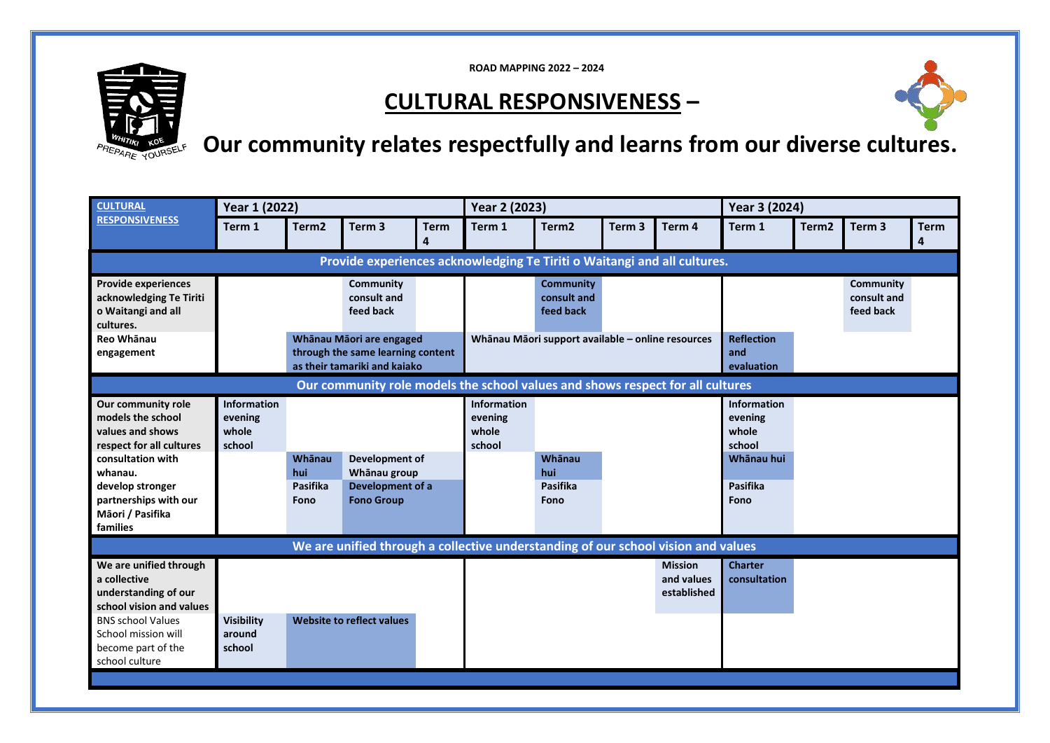

**ROAD MAPPING 2022 – 2024**

#### **CULTURAL RESPONSIVENESS –**



## **Our community relates respectfully and learns from our diverse cultures.**

| <b>CULTURAL</b>                                                                                                                                                                                      | Year 1 (2022)                                                                                 |                                   |                                                                                   |                  | Year 2 (2023)                                     |                                              |                   |                                             | Year 3 (2024)                                                                      |                   |                                       |                  |
|------------------------------------------------------------------------------------------------------------------------------------------------------------------------------------------------------|-----------------------------------------------------------------------------------------------|-----------------------------------|-----------------------------------------------------------------------------------|------------------|---------------------------------------------------|----------------------------------------------|-------------------|---------------------------------------------|------------------------------------------------------------------------------------|-------------------|---------------------------------------|------------------|
| <b>RESPONSIVENESS</b>                                                                                                                                                                                | Term 1                                                                                        | Term <sub>2</sub>                 | Term <sub>3</sub>                                                                 | <b>Term</b><br>4 | Term 1                                            | Term <sub>2</sub>                            | Term <sub>3</sub> | Term 4                                      | Term 1                                                                             | Term <sub>2</sub> | Term <sub>3</sub>                     | <b>Term</b><br>4 |
|                                                                                                                                                                                                      |                                                                                               |                                   | Provide experiences acknowledging Te Tiriti o Waitangi and all cultures.          |                  |                                                   |                                              |                   |                                             |                                                                                    |                   |                                       |                  |
| <b>Provide experiences</b><br>acknowledging Te Tiriti<br>o Waitangi and all<br>cultures.                                                                                                             |                                                                                               |                                   | Community<br>consult and<br>feed back                                             |                  |                                                   | <b>Community</b><br>consult and<br>feed back |                   |                                             |                                                                                    |                   | Community<br>consult and<br>feed back |                  |
| Reo Whānau<br>engagement                                                                                                                                                                             | Whānau Māori are engaged<br>through the same learning content<br>as their tamariki and kaiako |                                   |                                                                                   |                  | Whānau Māori support available - online resources |                                              |                   | <b>Reflection</b><br>and<br>evaluation      |                                                                                    |                   |                                       |                  |
| Our community role models the school values and shows respect for all cultures                                                                                                                       |                                                                                               |                                   |                                                                                   |                  |                                                   |                                              |                   |                                             |                                                                                    |                   |                                       |                  |
| Our community role<br>models the school<br>values and shows<br>respect for all cultures<br>consultation with<br>whanau.<br>develop stronger<br>partnerships with our<br>Māori / Pasifika<br>families | <b>Information</b><br>evening<br>whole<br>school                                              | Whānau<br>hui<br>Pasifika<br>Fono | Development of<br>Whānau group<br>Development of a<br><b>Fono Group</b>           |                  | Information<br>evening<br>whole<br>school         | Whānau<br>hui<br>Pasifika<br>Fono            |                   |                                             | <b>Information</b><br>evening<br>whole<br>school<br>Whānau hui<br>Pasifika<br>Fono |                   |                                       |                  |
|                                                                                                                                                                                                      |                                                                                               |                                   | We are unified through a collective understanding of our school vision and values |                  |                                                   |                                              |                   |                                             |                                                                                    |                   |                                       |                  |
| We are unified through<br>a collective<br>understanding of our<br>school vision and values                                                                                                           |                                                                                               |                                   |                                                                                   |                  |                                                   |                                              |                   | <b>Mission</b><br>and values<br>established | <b>Charter</b><br>consultation                                                     |                   |                                       |                  |
| <b>BNS school Values</b><br>School mission will<br>become part of the<br>school culture                                                                                                              | <b>Visibility</b><br>around<br>school                                                         |                                   | Website to reflect values                                                         |                  |                                                   |                                              |                   |                                             |                                                                                    |                   |                                       |                  |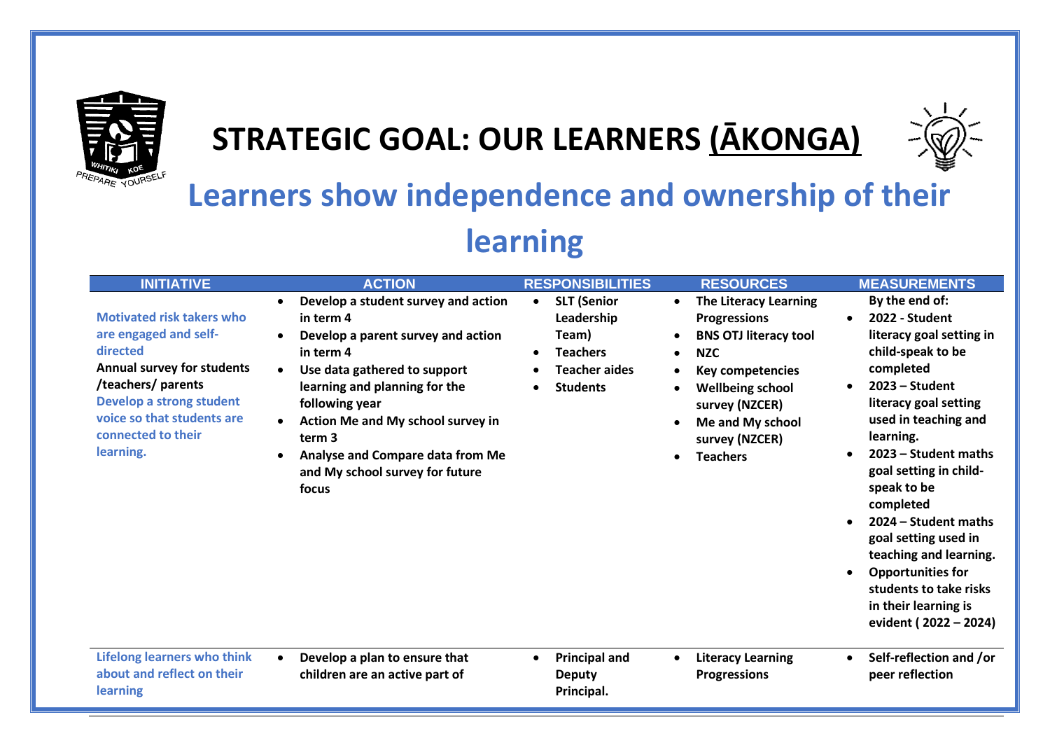

## **STRATEGIC GOAL: OUR LEARNERS (ĀKONGA)**



## **Learners show independence and ownership of their learning**

| <b>INITIATIVE</b>                                                                                                                                                                                                             | <b>ACTION</b>                                                                                                                                                                                                                                                                                                                                   | <b>RESPONSIBILITIES</b>                                                                                                                        | <b>RESOURCES</b>                                                                                                                                                                                                                   | <b>MEASUREMENTS</b>                                                                                                                                                                                                                                                                                                                                                                                                                             |
|-------------------------------------------------------------------------------------------------------------------------------------------------------------------------------------------------------------------------------|-------------------------------------------------------------------------------------------------------------------------------------------------------------------------------------------------------------------------------------------------------------------------------------------------------------------------------------------------|------------------------------------------------------------------------------------------------------------------------------------------------|------------------------------------------------------------------------------------------------------------------------------------------------------------------------------------------------------------------------------------|-------------------------------------------------------------------------------------------------------------------------------------------------------------------------------------------------------------------------------------------------------------------------------------------------------------------------------------------------------------------------------------------------------------------------------------------------|
| <b>Motivated risk takers who</b><br>are engaged and self-<br>directed<br><b>Annual survey for students</b><br>/teachers/ parents<br>Develop a strong student<br>voice so that students are<br>connected to their<br>learning. | Develop a student survey and action<br>$\bullet$<br>in term 4<br>Develop a parent survey and action<br>in term 4<br>Use data gathered to support<br>learning and planning for the<br>following year<br>Action Me and My school survey in<br>term 3<br>Analyse and Compare data from Me<br>$\bullet$<br>and My school survey for future<br>focus | <b>SLT (Senior</b><br>$\bullet$<br>Leadership<br>Team)<br><b>Teachers</b><br>$\bullet$<br><b>Teacher aides</b><br><b>Students</b><br>$\bullet$ | <b>The Literacy Learning</b><br><b>Progressions</b><br><b>BNS OTJ literacy tool</b><br><b>NZC</b><br><b>Key competencies</b><br><b>Wellbeing school</b><br>survey (NZCER)<br>Me and My school<br>survey (NZCER)<br><b>Teachers</b> | By the end of:<br>2022 - Student<br>literacy goal setting in<br>child-speak to be<br>completed<br>$2023 - Student$<br>literacy goal setting<br>used in teaching and<br>learning.<br>2023 – Student maths<br>goal setting in child-<br>speak to be<br>completed<br>2024 – Student maths<br>goal setting used in<br>teaching and learning.<br><b>Opportunities for</b><br>students to take risks<br>in their learning is<br>evident (2022 - 2024) |
| <b>Lifelong learners who think</b><br>about and reflect on their<br>learning                                                                                                                                                  | Develop a plan to ensure that<br>$\bullet$<br>children are an active part of                                                                                                                                                                                                                                                                    | <b>Principal and</b><br>$\bullet$<br><b>Deputy</b><br>Principal.                                                                               | <b>Literacy Learning</b><br>$\bullet$<br><b>Progressions</b>                                                                                                                                                                       | Self-reflection and /or<br>peer reflection                                                                                                                                                                                                                                                                                                                                                                                                      |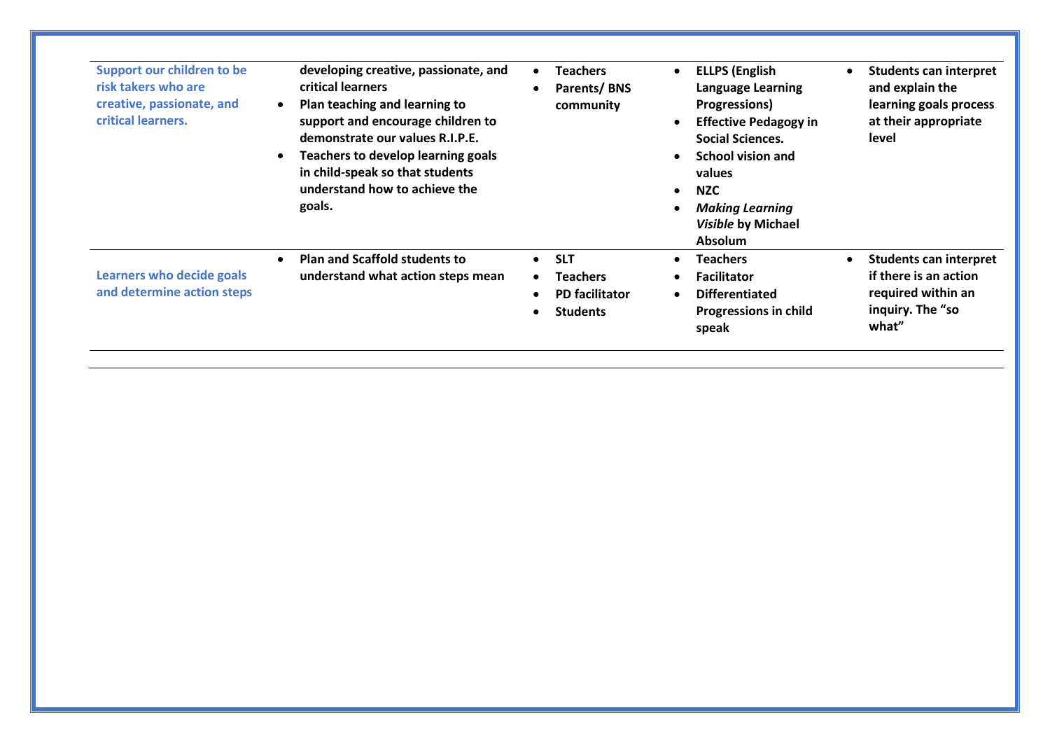| Support our children to be<br>risk takers who are<br>creative, passionate, and<br>critical learners. | developing creative, passionate, and<br>critical learners<br>Plan teaching and learning to<br>support and encourage children to<br>demonstrate our values R.I.P.E.<br>Teachers to develop learning goals<br>in child-speak so that students<br>understand how to achieve the<br>goals. | <b>Teachers</b><br>$\bullet$<br>Parents/BNS<br>$\bullet$<br>community                                            | <b>ELLPS (English</b><br><b>Language Learning</b><br><b>Progressions</b> )<br><b>Effective Pedagogy in</b><br><b>Social Sciences.</b><br><b>School vision and</b><br>values<br><b>NZC</b><br><b>Making Learning</b><br>Visible by Michael<br><b>Absolum</b> | <b>Students can interpret</b><br>and explain the<br>learning goals process<br>at their appropriate<br>level |
|------------------------------------------------------------------------------------------------------|----------------------------------------------------------------------------------------------------------------------------------------------------------------------------------------------------------------------------------------------------------------------------------------|------------------------------------------------------------------------------------------------------------------|-------------------------------------------------------------------------------------------------------------------------------------------------------------------------------------------------------------------------------------------------------------|-------------------------------------------------------------------------------------------------------------|
| Learners who decide goals<br>and determine action steps                                              | <b>Plan and Scaffold students to</b><br>understand what action steps mean                                                                                                                                                                                                              | <b>SLT</b><br>$\bullet$<br><b>Teachers</b><br>$\bullet$<br><b>PD</b> facilitator<br>$\bullet$<br><b>Students</b> | <b>Teachers</b><br><b>Facilitator</b><br><b>Differentiated</b><br><b>Progressions in child</b><br>speak                                                                                                                                                     | <b>Students can interpret</b><br>if there is an action<br>required within an<br>inquiry. The "so<br>what"   |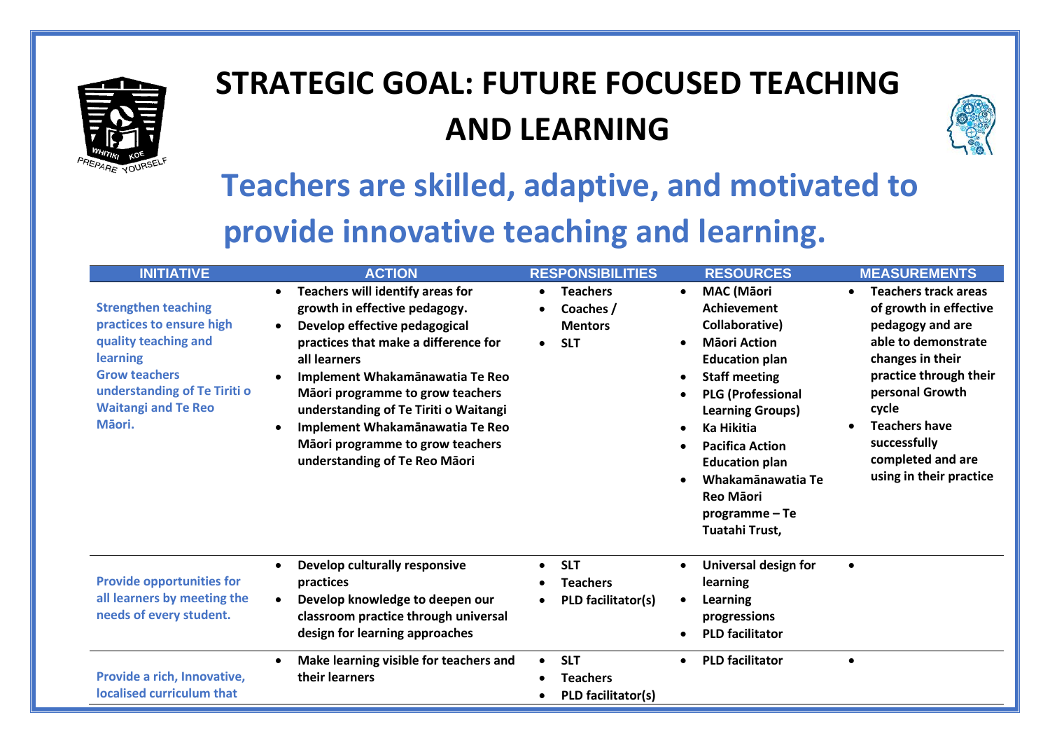

# **STRATEGIC GOAL: FUTURE FOCUSED TEACHING AND LEARNING**



# **Teachers are skilled, adaptive, and motivated to provide innovative teaching and learning.**

| <b>INITIATIVE</b>                                                                                                                                                                                 | <b>ACTION</b>                                                                                                                                                                                                                                                                                                                                                                                                             | <b>RESPONSIBILITIES</b>                                                   | <b>RESOURCES</b>                                                                                                                                                                                                                                                                                                                                                                                            | <b>MEASUREMENTS</b>                                                                                                                                                                                                                                                |
|---------------------------------------------------------------------------------------------------------------------------------------------------------------------------------------------------|---------------------------------------------------------------------------------------------------------------------------------------------------------------------------------------------------------------------------------------------------------------------------------------------------------------------------------------------------------------------------------------------------------------------------|---------------------------------------------------------------------------|-------------------------------------------------------------------------------------------------------------------------------------------------------------------------------------------------------------------------------------------------------------------------------------------------------------------------------------------------------------------------------------------------------------|--------------------------------------------------------------------------------------------------------------------------------------------------------------------------------------------------------------------------------------------------------------------|
| <b>Strengthen teaching</b><br>practices to ensure high<br>quality teaching and<br><b>learning</b><br><b>Grow teachers</b><br>understanding of Te Tiriti o<br><b>Waitangi and Te Reo</b><br>Māori. | Teachers will identify areas for<br>$\bullet$<br>growth in effective pedagogy.<br>Develop effective pedagogical<br>$\bullet$<br>practices that make a difference for<br>all learners<br>Implement Whakamānawatia Te Reo<br>Māori programme to grow teachers<br>understanding of Te Tiriti o Waitangi<br>Implement Whakamānawatia Te Reo<br>$\bullet$<br>Māori programme to grow teachers<br>understanding of Te Reo Māori | <b>Teachers</b><br>$\bullet$<br>Coaches /<br><b>Mentors</b><br><b>SLT</b> | <b>MAC</b> (Māori<br>$\bullet$<br>Achievement<br>Collaborative)<br><b>Mäori Action</b><br>$\bullet$<br><b>Education plan</b><br><b>Staff meeting</b><br>$\bullet$<br><b>PLG (Professional</b><br>$\bullet$<br><b>Learning Groups)</b><br>Ka Hikitia<br>$\bullet$<br><b>Pacifica Action</b><br>$\bullet$<br><b>Education plan</b><br>Whakamānawatia Te<br><b>Reo Māori</b><br>programme-Te<br>Tuatahi Trust, | <b>Teachers track areas</b><br>of growth in effective<br>pedagogy and are<br>able to demonstrate<br>changes in their<br>practice through their<br>personal Growth<br>cycle<br><b>Teachers have</b><br>successfully<br>completed and are<br>using in their practice |
| <b>Provide opportunities for</b><br>all learners by meeting the<br>needs of every student.                                                                                                        | Develop culturally responsive<br>$\bullet$<br>practices<br>Develop knowledge to deepen our<br>classroom practice through universal<br>design for learning approaches                                                                                                                                                                                                                                                      | <b>SLT</b><br>$\bullet$<br><b>Teachers</b><br>PLD facilitator(s)          | Universal design for<br>$\bullet$<br>learning<br>Learning<br>$\bullet$<br>progressions<br><b>PLD facilitator</b>                                                                                                                                                                                                                                                                                            | $\bullet$                                                                                                                                                                                                                                                          |
| Provide a rich, Innovative,<br>localised curriculum that                                                                                                                                          | Make learning visible for teachers and<br>$\bullet$<br>their learners                                                                                                                                                                                                                                                                                                                                                     | <b>SLT</b><br>$\bullet$<br><b>Teachers</b><br>PLD facilitator(s)          | <b>PLD facilitator</b><br>$\bullet$                                                                                                                                                                                                                                                                                                                                                                         | $\bullet$                                                                                                                                                                                                                                                          |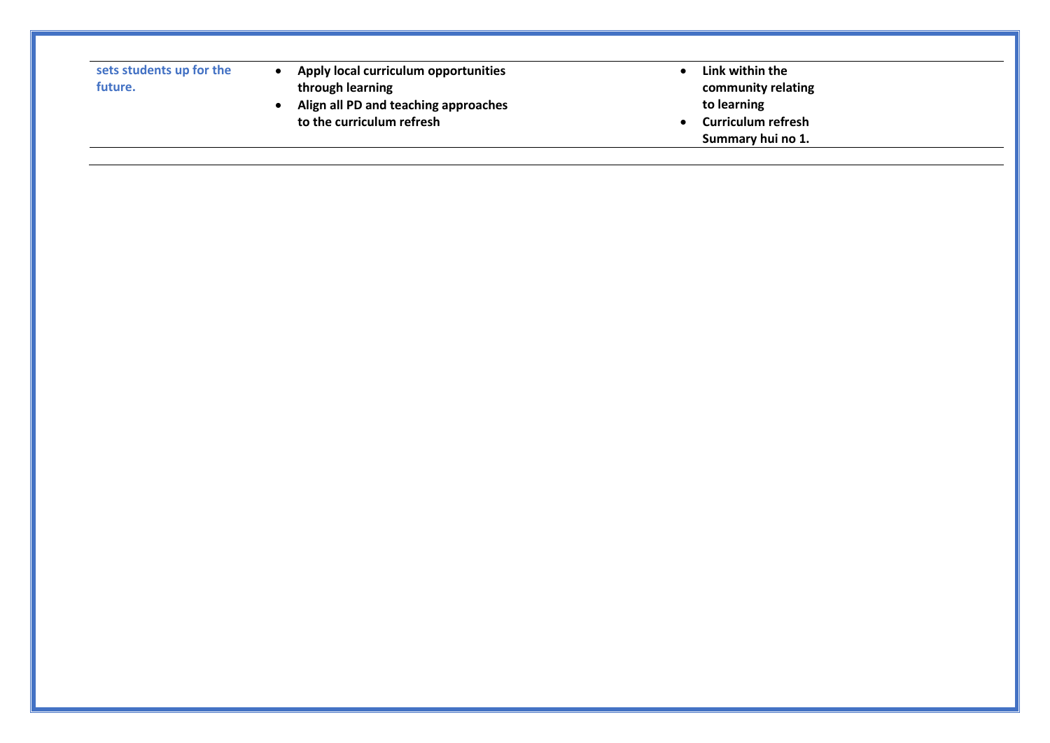| sets students up for the |  |
|--------------------------|--|
| future.                  |  |

- **Apply local curriculum opportunities through learning**
- **Align all PD and teaching approaches to the curriculum refresh**
- **Link within the community relating to learning**
- Summary hui no 1.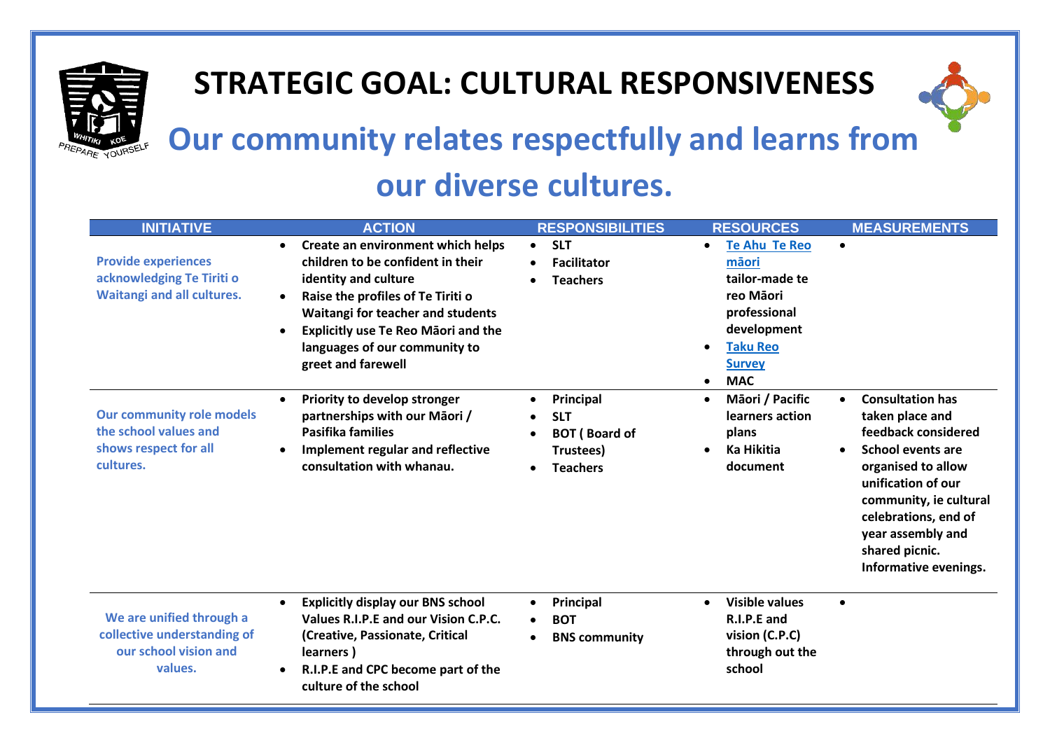

## **STRATEGIC GOAL: CULTURAL RESPONSIVENESS**



# **Our community relates respectfully and learns from**

## **our diverse cultures.**

| <b>INITIATIVE</b>                                                                               | <b>ACTION</b>                                                                                                                                                                                                                                                                                                        | <b>RESPONSIBILITIES</b>                                                                                                | <b>RESOURCES</b>                                                                                                                                           | <b>MEASUREMENTS</b>                                                                                                                                                                                                                                         |
|-------------------------------------------------------------------------------------------------|----------------------------------------------------------------------------------------------------------------------------------------------------------------------------------------------------------------------------------------------------------------------------------------------------------------------|------------------------------------------------------------------------------------------------------------------------|------------------------------------------------------------------------------------------------------------------------------------------------------------|-------------------------------------------------------------------------------------------------------------------------------------------------------------------------------------------------------------------------------------------------------------|
| <b>Provide experiences</b><br>acknowledging Te Tiriti o<br><b>Waitangi and all cultures.</b>    | Create an environment which helps<br>$\bullet$<br>children to be confident in their<br>identity and culture<br>Raise the profiles of Te Tiriti o<br>$\bullet$<br>Waitangi for teacher and students<br><b>Explicitly use Te Reo Maori and the</b><br>$\bullet$<br>languages of our community to<br>greet and farewell | <b>SLT</b><br>$\bullet$<br><b>Facilitator</b><br><b>Teachers</b>                                                       | <b>Te Ahu Te Reo</b><br>mäori<br>tailor-made te<br>reo Māori<br>professional<br>development<br><b>Taku Reo</b><br><b>Survey</b><br><b>MAC</b><br>$\bullet$ | $\bullet$                                                                                                                                                                                                                                                   |
| <b>Our community role models</b><br>the school values and<br>shows respect for all<br>cultures. | Priority to develop stronger<br>$\bullet$<br>partnerships with our Māori /<br><b>Pasifika families</b><br>Implement regular and reflective<br>consultation with whanau.                                                                                                                                              | Principal<br>$\bullet$<br><b>SLT</b><br><b>BOT</b> (Board of<br>$\bullet$<br>Trustees)<br><b>Teachers</b><br>$\bullet$ | Māori / Pacific<br>learners action<br>plans<br><b>Ka Hikitia</b><br>document                                                                               | <b>Consultation has</b><br>taken place and<br>feedback considered<br><b>School events are</b><br>organised to allow<br>unification of our<br>community, ie cultural<br>celebrations, end of<br>year assembly and<br>shared picnic.<br>Informative evenings. |
| We are unified through a<br>collective understanding of<br>our school vision and<br>values.     | <b>Explicitly display our BNS school</b><br>$\bullet$<br>Values R.I.P.E and our Vision C.P.C.<br>(Creative, Passionate, Critical<br>learners)<br>R.I.P.E and CPC become part of the<br>culture of the school                                                                                                         | Principal<br>$\bullet$<br><b>BOT</b><br><b>BNS community</b><br>$\bullet$                                              | <b>Visible values</b><br>$\bullet$<br>R.I.P.E and<br>vision (C.P.C)<br>through out the<br>school                                                           | $\bullet$                                                                                                                                                                                                                                                   |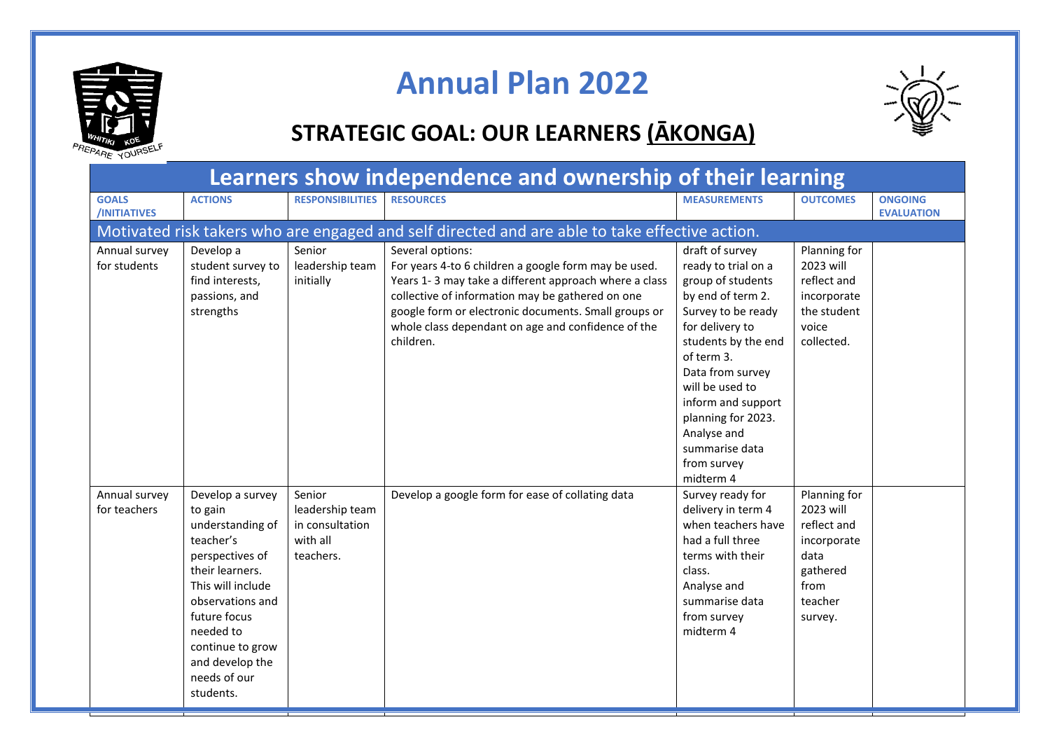

## **Annual Plan 2022**

#### **STRATEGIC GOAL: OUR LEARNERS (ĀKONGA)**

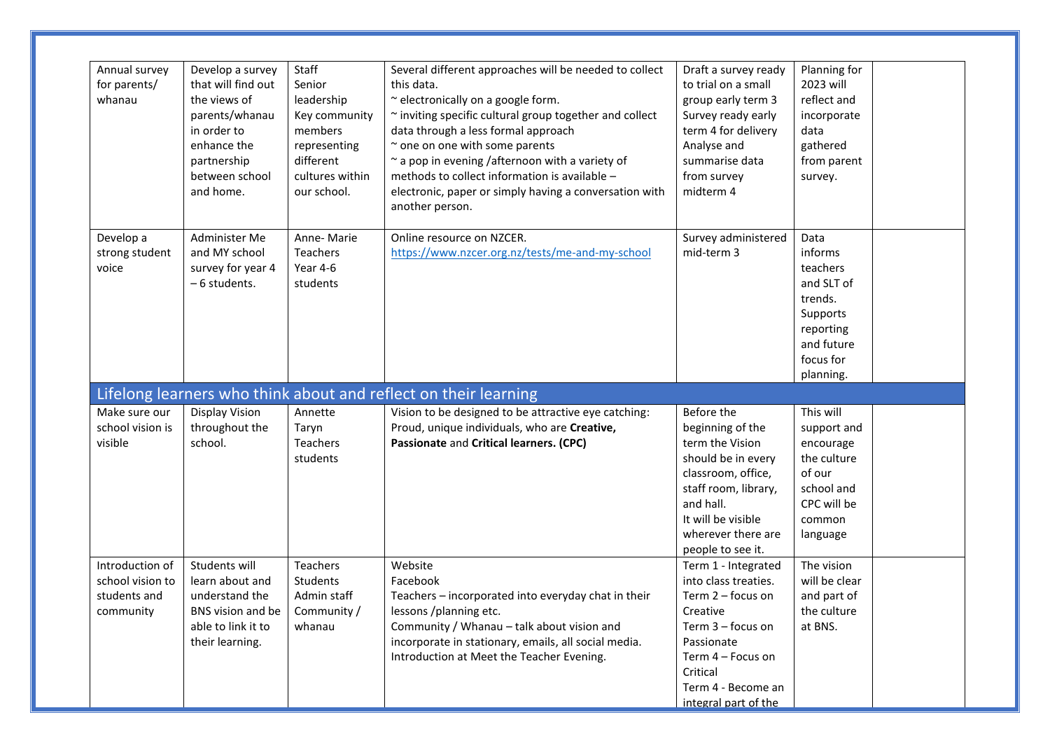| Annual survey<br>for parents/<br>whanau                          | Develop a survey<br>that will find out<br>the views of<br>parents/whanau<br>in order to<br>enhance the<br>partnership<br>between school<br>and home. | Staff<br>Senior<br>leadership<br>Key community<br>members<br>representing<br>different<br>cultures within<br>our school. | Several different approaches will be needed to collect<br>this data.<br>~ electronically on a google form.<br>~ inviting specific cultural group together and collect<br>data through a less formal approach<br>~ one on one with some parents<br>$\sim$ a pop in evening /afternoon with a variety of<br>methods to collect information is available -<br>electronic, paper or simply having a conversation with<br>another person. | Draft a survey ready<br>to trial on a small<br>group early term 3<br>Survey ready early<br>term 4 for delivery<br>Analyse and<br>summarise data<br>from survey<br>midterm 4                         | Planning for<br>2023 will<br>reflect and<br>incorporate<br>data<br>gathered<br>from parent<br>survey.                 |  |
|------------------------------------------------------------------|------------------------------------------------------------------------------------------------------------------------------------------------------|--------------------------------------------------------------------------------------------------------------------------|--------------------------------------------------------------------------------------------------------------------------------------------------------------------------------------------------------------------------------------------------------------------------------------------------------------------------------------------------------------------------------------------------------------------------------------|-----------------------------------------------------------------------------------------------------------------------------------------------------------------------------------------------------|-----------------------------------------------------------------------------------------------------------------------|--|
| Develop a<br>strong student<br>voice                             | Administer Me<br>and MY school<br>survey for year 4<br>- 6 students.                                                                                 | Anne-Marie<br>Teachers<br>Year 4-6<br>students                                                                           | Online resource on NZCER.<br>https://www.nzcer.org.nz/tests/me-and-my-school                                                                                                                                                                                                                                                                                                                                                         | Survey administered<br>mid-term 3                                                                                                                                                                   | Data<br>informs<br>teachers<br>and SLT of<br>trends.<br>Supports<br>reporting<br>and future<br>focus for<br>planning. |  |
|                                                                  |                                                                                                                                                      |                                                                                                                          | Lifelong learners who think about and reflect on their learning                                                                                                                                                                                                                                                                                                                                                                      |                                                                                                                                                                                                     |                                                                                                                       |  |
| Make sure our<br>school vision is<br>visible                     | Display Vision<br>throughout the<br>school.                                                                                                          | Annette<br>Taryn<br>Teachers<br>students                                                                                 | Vision to be designed to be attractive eye catching:<br>Proud, unique individuals, who are Creative,<br>Passionate and Critical learners. (CPC)                                                                                                                                                                                                                                                                                      | Before the<br>beginning of the<br>term the Vision<br>should be in every<br>classroom, office,<br>staff room, library,<br>and hall.<br>It will be visible<br>wherever there are<br>people to see it. | This will<br>support and<br>encourage<br>the culture<br>of our<br>school and<br>CPC will be<br>common<br>language     |  |
| Introduction of<br>school vision to<br>students and<br>community | Students will<br>learn about and<br>understand the<br>BNS vision and be<br>able to link it to<br>their learning.                                     | Teachers<br>Students<br>Admin staff<br>Community /<br>whanau                                                             | Website<br>Facebook<br>Teachers - incorporated into everyday chat in their<br>lessons /planning etc.<br>Community / Whanau - talk about vision and<br>incorporate in stationary, emails, all social media.<br>Introduction at Meet the Teacher Evening.                                                                                                                                                                              | Term 1 - Integrated<br>into class treaties.<br>Term 2 - focus on<br>Creative<br>Term 3 - focus on<br>Passionate<br>Term 4 - Focus on<br>Critical<br>Term 4 - Become an<br>integral part of the      | The vision<br>will be clear<br>and part of<br>the culture<br>at BNS.                                                  |  |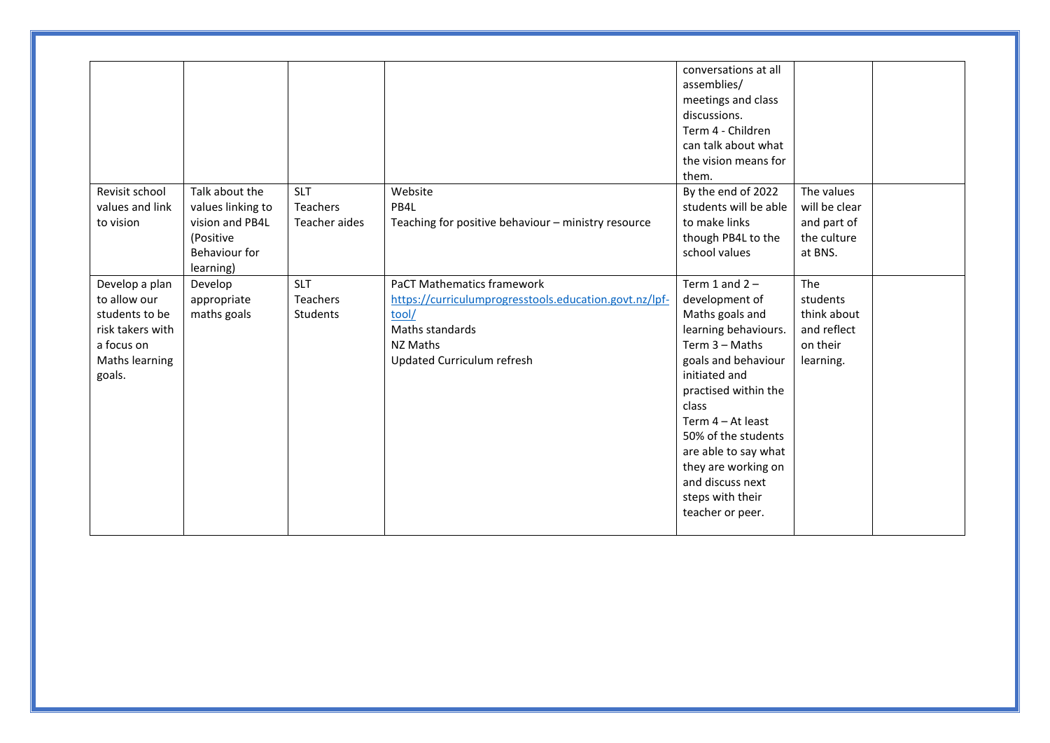| Revisit school   | Talk about the    | <b>SLT</b>      | Website                                                | conversations at all<br>assemblies/<br>meetings and class<br>discussions.<br>Term 4 - Children<br>can talk about what<br>the vision means for<br>them.<br>By the end of 2022 | The values    |  |
|------------------|-------------------|-----------------|--------------------------------------------------------|------------------------------------------------------------------------------------------------------------------------------------------------------------------------------|---------------|--|
| values and link  | values linking to | Teachers        | PB4L                                                   | students will be able                                                                                                                                                        | will be clear |  |
| to vision        | vision and PB4L   | Teacher aides   | Teaching for positive behaviour - ministry resource    | to make links                                                                                                                                                                | and part of   |  |
|                  | (Positive         |                 |                                                        | though PB4L to the                                                                                                                                                           | the culture   |  |
|                  | Behaviour for     |                 |                                                        | school values                                                                                                                                                                | at BNS.       |  |
|                  | learning)         |                 |                                                        |                                                                                                                                                                              |               |  |
| Develop a plan   | Develop           | <b>SLT</b>      | <b>PaCT Mathematics framework</b>                      | Term 1 and $2 -$                                                                                                                                                             | The           |  |
| to allow our     | appropriate       | <b>Teachers</b> | https://curriculumprogresstools.education.govt.nz/lpf- | development of                                                                                                                                                               | students      |  |
| students to be   | maths goals       | Students        | tool/                                                  | Maths goals and                                                                                                                                                              | think about   |  |
| risk takers with |                   |                 | Maths standards                                        | learning behaviours.                                                                                                                                                         | and reflect   |  |
| a focus on       |                   |                 | NZ Maths                                               | Term 3 - Maths                                                                                                                                                               | on their      |  |
| Maths learning   |                   |                 | Updated Curriculum refresh                             | goals and behaviour                                                                                                                                                          | learning.     |  |
| goals.           |                   |                 |                                                        | initiated and                                                                                                                                                                |               |  |
|                  |                   |                 |                                                        | practised within the<br>class                                                                                                                                                |               |  |
|                  |                   |                 |                                                        | Term 4 - At least                                                                                                                                                            |               |  |
|                  |                   |                 |                                                        | 50% of the students                                                                                                                                                          |               |  |
|                  |                   |                 |                                                        | are able to say what                                                                                                                                                         |               |  |
|                  |                   |                 |                                                        | they are working on                                                                                                                                                          |               |  |
|                  |                   |                 |                                                        | and discuss next                                                                                                                                                             |               |  |
|                  |                   |                 |                                                        | steps with their                                                                                                                                                             |               |  |
|                  |                   |                 |                                                        | teacher or peer.                                                                                                                                                             |               |  |
|                  |                   |                 |                                                        |                                                                                                                                                                              |               |  |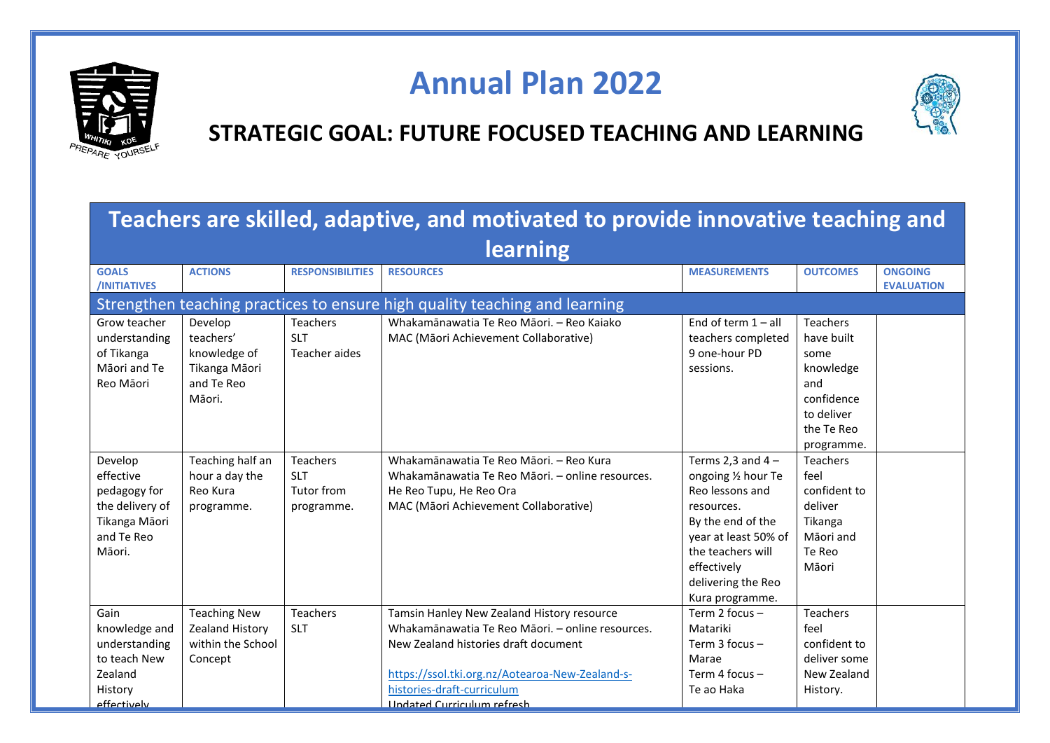

## **Annual Plan 2022**



#### **STRATEGIC GOAL: FUTURE FOCUSED TEACHING AND LEARNING**

|                                                                                                  | Teachers are skilled, adaptive, and motivated to provide innovative teaching and |                                                    |                                                                                                                                                                                                                                                              |                                                                                                                                                                                                       |                                                                                                                   |                                     |  |  |  |  |  |
|--------------------------------------------------------------------------------------------------|----------------------------------------------------------------------------------|----------------------------------------------------|--------------------------------------------------------------------------------------------------------------------------------------------------------------------------------------------------------------------------------------------------------------|-------------------------------------------------------------------------------------------------------------------------------------------------------------------------------------------------------|-------------------------------------------------------------------------------------------------------------------|-------------------------------------|--|--|--|--|--|
|                                                                                                  |                                                                                  |                                                    | learning                                                                                                                                                                                                                                                     |                                                                                                                                                                                                       |                                                                                                                   |                                     |  |  |  |  |  |
| <b>GOALS</b><br>/INITIATIVES                                                                     | <b>ACTIONS</b>                                                                   | <b>RESPONSIBILITIES</b>                            | <b>RESOURCES</b>                                                                                                                                                                                                                                             | <b>MEASUREMENTS</b>                                                                                                                                                                                   | <b>OUTCOMES</b>                                                                                                   | <b>ONGOING</b><br><b>EVALUATION</b> |  |  |  |  |  |
|                                                                                                  |                                                                                  |                                                    | Strengthen teaching practices to ensure high quality teaching and learning                                                                                                                                                                                   |                                                                                                                                                                                                       |                                                                                                                   |                                     |  |  |  |  |  |
| Grow teacher<br>understanding<br>of Tikanga<br>Māori and Te<br>Reo Māori                         | Develop<br>teachers'<br>knowledge of<br>Tikanga Māori<br>and Te Reo<br>Māori.    | Teachers<br><b>SLT</b><br>Teacher aides            | Whakamānawatia Te Reo Māori. - Reo Kaiako<br>MAC (Māori Achievement Collaborative)                                                                                                                                                                           | End of term $1 - all$<br>teachers completed<br>9 one-hour PD<br>sessions.                                                                                                                             | <b>Teachers</b><br>have built<br>some<br>knowledge<br>and<br>confidence<br>to deliver<br>the Te Reo<br>programme. |                                     |  |  |  |  |  |
| Develop<br>effective<br>pedagogy for<br>the delivery of<br>Tikanga Māori<br>and Te Reo<br>Māori. | Teaching half an<br>hour a day the<br>Reo Kura<br>programme.                     | Teachers<br><b>SLT</b><br>Tutor from<br>programme. | Whakamānawatia Te Reo Māori. - Reo Kura<br>Whakamānawatia Te Reo Māori. – online resources.<br>He Reo Tupu, He Reo Ora<br>MAC (Māori Achievement Collaborative)                                                                                              | Terms 2,3 and $4 -$<br>ongoing 1/2 hour Te<br>Reo lessons and<br>resources.<br>By the end of the<br>year at least 50% of<br>the teachers will<br>effectively<br>delivering the Reo<br>Kura programme. | Teachers<br>feel<br>confident to<br>deliver<br>Tikanga<br>Māori and<br>Te Reo<br>Māori                            |                                     |  |  |  |  |  |
| Gain<br>knowledge and<br>understanding<br>to teach New<br>Zealand<br>History<br>effectively      | <b>Teaching New</b><br>Zealand History<br>within the School<br>Concept           | <b>Teachers</b><br><b>SLT</b>                      | Tamsin Hanley New Zealand History resource<br>Whakamānawatia Te Reo Māori. - online resources.<br>New Zealand histories draft document<br>https://ssol.tki.org.nz/Aotearoa-New-Zealand-s-<br>histories-draft-curriculum<br><b>Undated Curriculum refresh</b> | Term 2 focus -<br>Matariki<br>Term 3 focus -<br>Marae<br>Term 4 focus -<br>Te ao Haka                                                                                                                 | <b>Teachers</b><br>feel<br>confident to<br>deliver some<br>New Zealand<br>History.                                |                                     |  |  |  |  |  |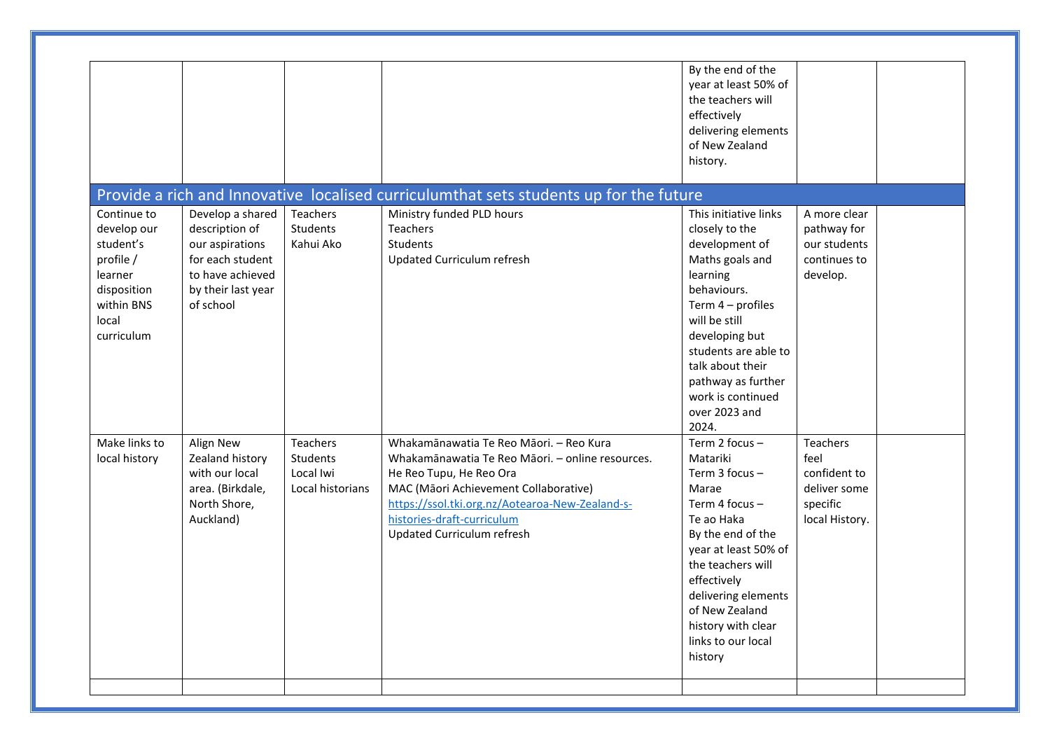|                                                                                                                     |                                                                                                                                  |                                                              |                                                                                                                                                                                                                                                                                | By the end of the<br>year at least 50% of<br>the teachers will<br>effectively<br>delivering elements<br>of New Zealand<br>history.                                                                                                                                               |                                                                                       |  |
|---------------------------------------------------------------------------------------------------------------------|----------------------------------------------------------------------------------------------------------------------------------|--------------------------------------------------------------|--------------------------------------------------------------------------------------------------------------------------------------------------------------------------------------------------------------------------------------------------------------------------------|----------------------------------------------------------------------------------------------------------------------------------------------------------------------------------------------------------------------------------------------------------------------------------|---------------------------------------------------------------------------------------|--|
|                                                                                                                     |                                                                                                                                  |                                                              | Provide a rich and Innovative localised curriculumthat sets students up for the future                                                                                                                                                                                         |                                                                                                                                                                                                                                                                                  |                                                                                       |  |
| Continue to<br>develop our<br>student's<br>profile /<br>learner<br>disposition<br>within BNS<br>local<br>curriculum | Develop a shared<br>description of<br>our aspirations<br>for each student<br>to have achieved<br>by their last year<br>of school | Teachers<br>Students<br>Kahui Ako                            | Ministry funded PLD hours<br><b>Teachers</b><br>Students<br>Updated Curriculum refresh                                                                                                                                                                                         | This initiative links<br>closely to the<br>development of<br>Maths goals and<br>learning<br>behaviours.<br>Term 4 - profiles<br>will be still<br>developing but<br>students are able to<br>talk about their<br>pathway as further<br>work is continued<br>over 2023 and<br>2024. | A more clear<br>pathway for<br>our students<br>continues to<br>develop.               |  |
| Make links to<br>local history                                                                                      | Align New<br>Zealand history<br>with our local<br>area. (Birkdale,<br>North Shore,<br>Auckland)                                  | Teachers<br><b>Students</b><br>Local Iwi<br>Local historians | Whakamānawatia Te Reo Māori. - Reo Kura<br>Whakamānawatia Te Reo Māori. - online resources.<br>He Reo Tupu, He Reo Ora<br>MAC (Māori Achievement Collaborative)<br>https://ssol.tki.org.nz/Aotearoa-New-Zealand-s-<br>histories-draft-curriculum<br>Updated Curriculum refresh | Term 2 focus -<br>Matariki<br>Term $3$ focus $-$<br>Marae<br>Term 4 focus $-$<br>Te ao Haka<br>By the end of the<br>year at least 50% of<br>the teachers will<br>effectively<br>delivering elements<br>of New Zealand<br>history with clear<br>links to our local<br>history     | <b>Teachers</b><br>feel<br>confident to<br>deliver some<br>specific<br>local History. |  |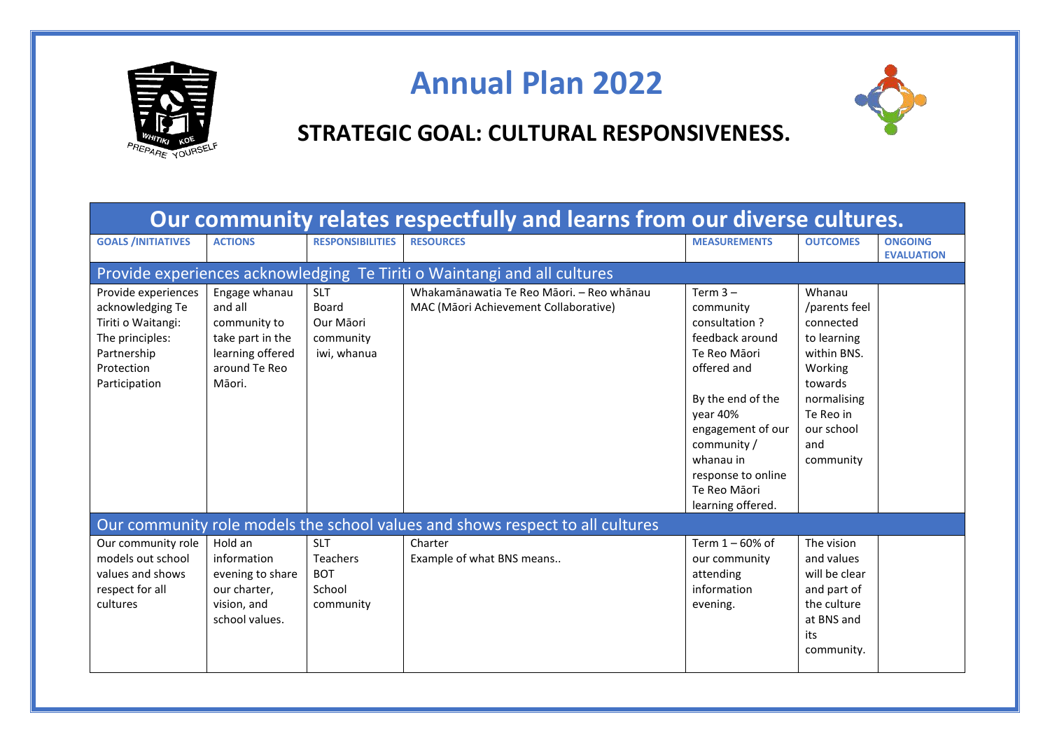

## **Annual Plan 2022**



#### **STRATEGIC GOAL: CULTURAL RESPONSIVENESS.**

| Our community relates respectfully and learns from our diverse cultures.                                                       |                                                                                                             |                                                                    |                                                                                    |                                                                                                                                                                                                                                         |                                                                                                                                                        |                                     |  |
|--------------------------------------------------------------------------------------------------------------------------------|-------------------------------------------------------------------------------------------------------------|--------------------------------------------------------------------|------------------------------------------------------------------------------------|-----------------------------------------------------------------------------------------------------------------------------------------------------------------------------------------------------------------------------------------|--------------------------------------------------------------------------------------------------------------------------------------------------------|-------------------------------------|--|
| <b>GOALS /INITIATIVES</b>                                                                                                      | <b>ACTIONS</b>                                                                                              | <b>RESPONSIBILITIES</b>                                            | <b>RESOURCES</b>                                                                   | <b>MEASUREMENTS</b>                                                                                                                                                                                                                     | <b>OUTCOMES</b>                                                                                                                                        | <b>ONGOING</b><br><b>EVALUATION</b> |  |
|                                                                                                                                |                                                                                                             |                                                                    | Provide experiences acknowledging Te Tiriti o Waintangi and all cultures           |                                                                                                                                                                                                                                         |                                                                                                                                                        |                                     |  |
| Provide experiences<br>acknowledging Te<br>Tiriti o Waitangi:<br>The principles:<br>Partnership<br>Protection<br>Participation | Engage whanau<br>and all<br>community to<br>take part in the<br>learning offered<br>around Te Reo<br>Māori. | <b>SLT</b><br>Board<br>Our Māori<br>community<br>iwi, whanua       | Whakamānawatia Te Reo Māori. - Reo whānau<br>MAC (Māori Achievement Collaborative) | Term $3 -$<br>community<br>consultation?<br>feedback around<br>Te Reo Māori<br>offered and<br>By the end of the<br>year 40%<br>engagement of our<br>community /<br>whanau in<br>response to online<br>Te Reo Māori<br>learning offered. | Whanau<br>/parents feel<br>connected<br>to learning<br>within BNS.<br>Working<br>towards<br>normalising<br>Te Reo in<br>our school<br>and<br>community |                                     |  |
|                                                                                                                                |                                                                                                             |                                                                    | Our community role models the school values and shows respect to all cultures      |                                                                                                                                                                                                                                         |                                                                                                                                                        |                                     |  |
| Our community role<br>models out school<br>values and shows<br>respect for all<br>cultures                                     | Hold an<br>information<br>evening to share<br>our charter,<br>vision, and<br>school values.                 | <b>SLT</b><br><b>Teachers</b><br><b>BOT</b><br>School<br>community | Charter<br>Example of what BNS means                                               | Term $1 - 60\%$ of<br>our community<br>attending<br>information<br>evening.                                                                                                                                                             | The vision<br>and values<br>will be clear<br>and part of<br>the culture<br>at BNS and<br>its<br>community.                                             |                                     |  |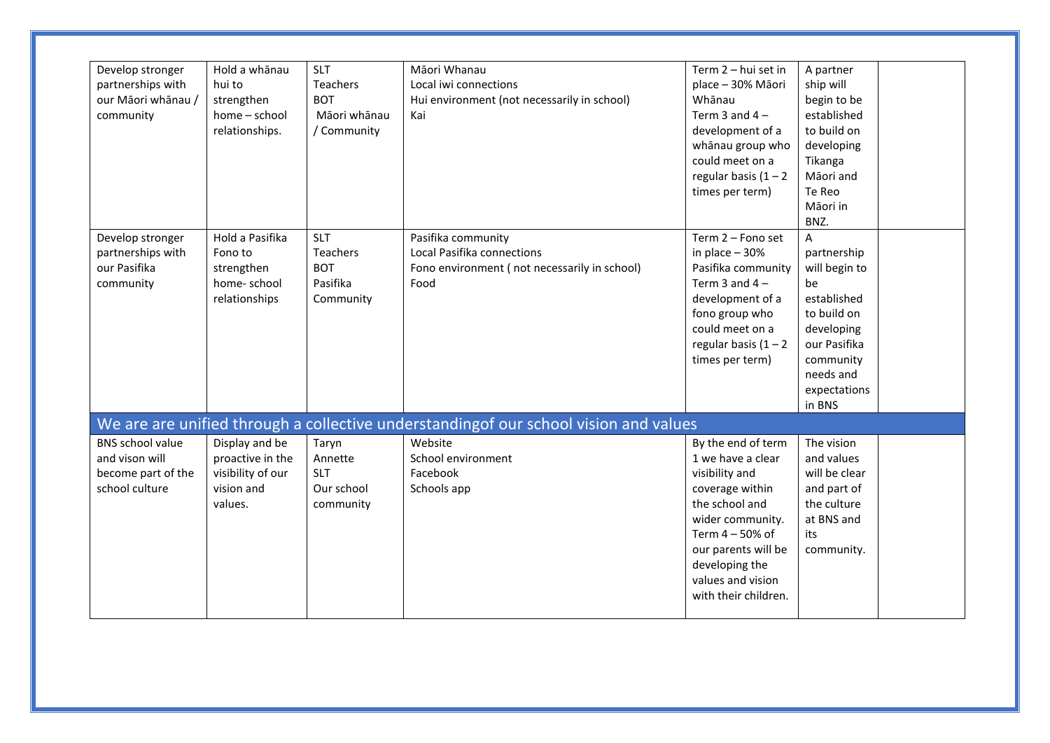| Develop stronger<br>partnerships with<br>our Māori whānau /<br>community          | Hold a whānau<br>hui to<br>strengthen<br>home - school<br>relationships.         | <b>SLT</b><br>Teachers<br><b>BOT</b><br>Māori whānau<br>/ Community  | Māori Whanau<br>Local iwi connections<br>Hui environment (not necessarily in school)<br>Kai                                                      | Term 2 - hui set in<br>place - 30% Māori<br>Whānau<br>Term 3 and $4 -$<br>development of a<br>whānau group who<br>could meet on a<br>regular basis $(1 - 2)$<br>times per term)                                             | A partner<br>ship will<br>begin to be<br>established<br>to build on<br>developing<br>Tikanga<br>Māori and<br>Te Reo<br>Māori in<br>BNZ.                 |
|-----------------------------------------------------------------------------------|----------------------------------------------------------------------------------|----------------------------------------------------------------------|--------------------------------------------------------------------------------------------------------------------------------------------------|-----------------------------------------------------------------------------------------------------------------------------------------------------------------------------------------------------------------------------|---------------------------------------------------------------------------------------------------------------------------------------------------------|
| Develop stronger<br>partnerships with<br>our Pasifika<br>community                | Hold a Pasifika<br>Fono to<br>strengthen<br>home-school<br>relationships         | <b>SLT</b><br><b>Teachers</b><br><b>BOT</b><br>Pasifika<br>Community | Pasifika community<br>Local Pasifika connections<br>Fono environment (not necessarily in school)<br>Food                                         | Term 2 - Fono set<br>in place $-30%$<br>Pasifika community<br>Term 3 and $4 -$<br>development of a<br>fono group who<br>could meet on a<br>regular basis $(1 - 2)$<br>times per term)                                       | A<br>partnership<br>will begin to<br>be<br>established<br>to build on<br>developing<br>our Pasifika<br>community<br>needs and<br>expectations<br>in BNS |
| <b>BNS</b> school value<br>and vison will<br>become part of the<br>school culture | Display and be<br>proactive in the<br>visibility of our<br>vision and<br>values. | Taryn<br>Annette<br><b>SLT</b><br>Our school<br>community            | We are are unified through a collective understandingof our school vision and values<br>Website<br>School environment<br>Facebook<br>Schools app | By the end of term<br>1 we have a clear<br>visibility and<br>coverage within<br>the school and<br>wider community.<br>Term 4 - 50% of<br>our parents will be<br>developing the<br>values and vision<br>with their children. | The vision<br>and values<br>will be clear<br>and part of<br>the culture<br>at BNS and<br>its<br>community.                                              |